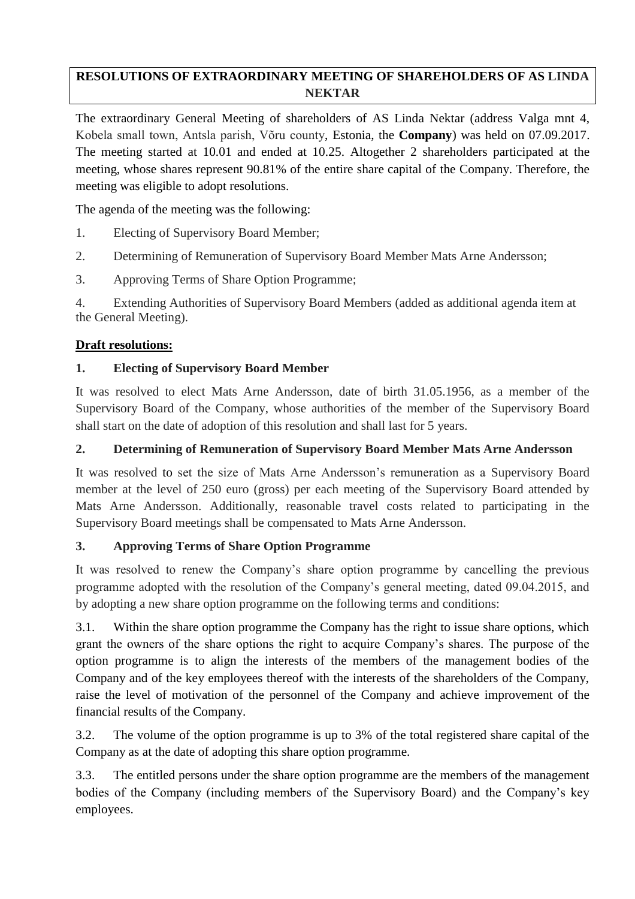# **RESOLUTIONS OF EXTRAORDINARY MEETING OF SHAREHOLDERS OF AS LINDA NEKTAR**

The extraordinary General Meeting of shareholders of AS Linda Nektar (address Valga mnt 4, Kobela small town, Antsla parish, Võru county, Estonia, the **Company**) was held on 07.09.2017. The meeting started at 10.01 and ended at 10.25. Altogether 2 shareholders participated at the meeting, whose shares represent 90.81% of the entire share capital of the Company. Therefore, the meeting was eligible to adopt resolutions.

The agenda of the meeting was the following:

- 1. Electing of Supervisory Board Member;
- 2. Determining of Remuneration of Supervisory Board Member Mats Arne Andersson;
- 3. Approving Terms of Share Option Programme;

4. Extending Authorities of Supervisory Board Members (added as additional agenda item at the General Meeting).

## **Draft resolutions:**

## **1. Electing of Supervisory Board Member**

It was resolved to elect Mats Arne Andersson, date of birth 31.05.1956, as a member of the Supervisory Board of the Company, whose authorities of the member of the Supervisory Board shall start on the date of adoption of this resolution and shall last for 5 years.

### **2. Determining of Remuneration of Supervisory Board Member Mats Arne Andersson**

It was resolved to set the size of Mats Arne Andersson's remuneration as a Supervisory Board member at the level of 250 euro (gross) per each meeting of the Supervisory Board attended by Mats Arne Andersson. Additionally, reasonable travel costs related to participating in the Supervisory Board meetings shall be compensated to Mats Arne Andersson.

### **3. Approving Terms of Share Option Programme**

It was resolved to renew the Company's share option programme by cancelling the previous programme adopted with the resolution of the Company's general meeting, dated 09.04.2015, and by adopting a new share option programme on the following terms and conditions:

3.1. Within the share option programme the Company has the right to issue share options, which grant the owners of the share options the right to acquire Company's shares. The purpose of the option programme is to align the interests of the members of the management bodies of the Company and of the key employees thereof with the interests of the shareholders of the Company, raise the level of motivation of the personnel of the Company and achieve improvement of the financial results of the Company.

3.2. The volume of the option programme is up to 3% of the total registered share capital of the Company as at the date of adopting this share option programme.

3.3. The entitled persons under the share option programme are the members of the management bodies of the Company (including members of the Supervisory Board) and the Company's key employees.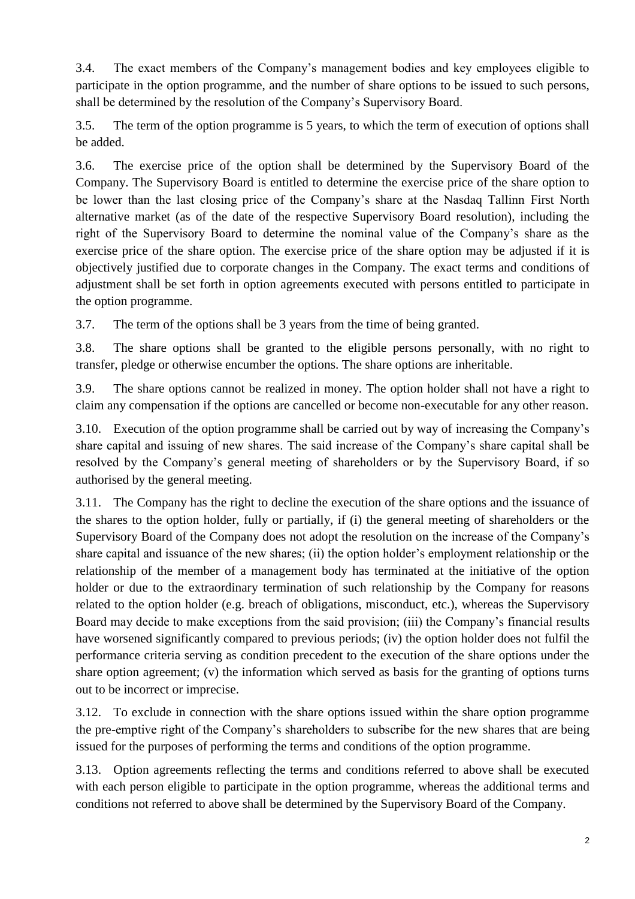3.4. The exact members of the Company's management bodies and key employees eligible to participate in the option programme, and the number of share options to be issued to such persons, shall be determined by the resolution of the Company's Supervisory Board.

3.5. The term of the option programme is 5 years, to which the term of execution of options shall be added.

3.6. The exercise price of the option shall be determined by the Supervisory Board of the Company. The Supervisory Board is entitled to determine the exercise price of the share option to be lower than the last closing price of the Company's share at the Nasdaq Tallinn First North alternative market (as of the date of the respective Supervisory Board resolution), including the right of the Supervisory Board to determine the nominal value of the Company's share as the exercise price of the share option. The exercise price of the share option may be adjusted if it is objectively justified due to corporate changes in the Company. The exact terms and conditions of adjustment shall be set forth in option agreements executed with persons entitled to participate in the option programme.

3.7. The term of the options shall be 3 years from the time of being granted.

3.8. The share options shall be granted to the eligible persons personally, with no right to transfer, pledge or otherwise encumber the options. The share options are inheritable.

3.9. The share options cannot be realized in money. The option holder shall not have a right to claim any compensation if the options are cancelled or become non-executable for any other reason.

3.10. Execution of the option programme shall be carried out by way of increasing the Company's share capital and issuing of new shares. The said increase of the Company's share capital shall be resolved by the Company's general meeting of shareholders or by the Supervisory Board, if so authorised by the general meeting.

3.11. The Company has the right to decline the execution of the share options and the issuance of the shares to the option holder, fully or partially, if (i) the general meeting of shareholders or the Supervisory Board of the Company does not adopt the resolution on the increase of the Company's share capital and issuance of the new shares; (ii) the option holder's employment relationship or the relationship of the member of a management body has terminated at the initiative of the option holder or due to the extraordinary termination of such relationship by the Company for reasons related to the option holder (e.g. breach of obligations, misconduct, etc.), whereas the Supervisory Board may decide to make exceptions from the said provision; (iii) the Company's financial results have worsened significantly compared to previous periods; (iv) the option holder does not fulfil the performance criteria serving as condition precedent to the execution of the share options under the share option agreement; (v) the information which served as basis for the granting of options turns out to be incorrect or imprecise.

3.12. To exclude in connection with the share options issued within the share option programme the pre-emptive right of the Company's shareholders to subscribe for the new shares that are being issued for the purposes of performing the terms and conditions of the option programme.

3.13. Option agreements reflecting the terms and conditions referred to above shall be executed with each person eligible to participate in the option programme, whereas the additional terms and conditions not referred to above shall be determined by the Supervisory Board of the Company.